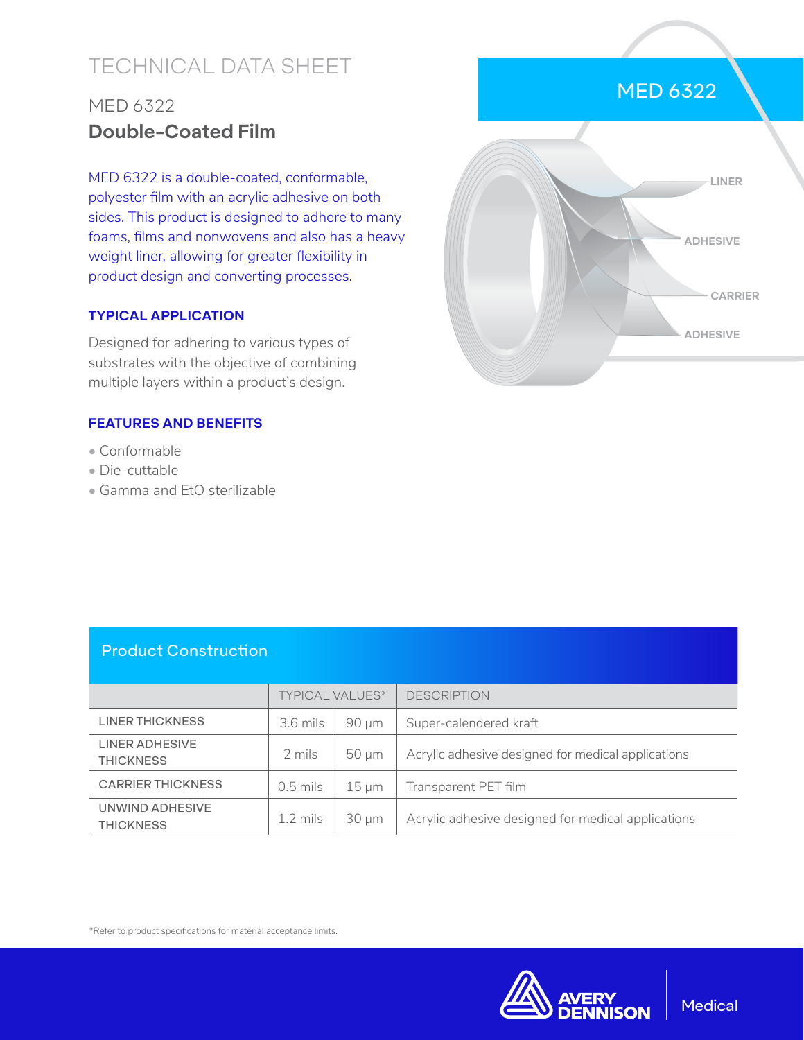# TECHNICAL DATA SHEET

## MED 6322 **Double-Coated Film**

MED 6322 is a double-coated, conformable, polyester film with an acrylic adhesive on both sides. This product is designed to adhere to many foams, films and nonwovens and also has a heavy weight liner, allowing for greater flexibility in product design and converting processes.

#### **TYPICAL APPLICATION**

Designed for adhering to various types of substrates with the objective of combining multiple layers within a product's design.

#### **FEATURES AND BENEFITS**

- Conformable
- Die-cuttable
- Gamma and EtO sterilizable



### Product Construction

|                                     | <b>TYPICAL VALUES*</b> |                 | <b>DESCRIPTION</b>                                 |
|-------------------------------------|------------------------|-----------------|----------------------------------------------------|
| LINER THICKNESS                     | 3.6 mils               | $90 \mu m$      | Super-calendered kraft                             |
| LINER ADHESIVE<br><b>THICKNESS</b>  | 2 mils                 | $50 \mu m$      | Acrylic adhesive designed for medical applications |
| <b>CARRIER THICKNESS</b>            | $0.5$ mils             | $15 \text{ µm}$ | Transparent PET film                               |
| UNWIND ADHESIVE<br><b>THICKNESS</b> | $1.2 \text{ miles}$    | $30 \mu m$      | Acrylic adhesive designed for medical applications |